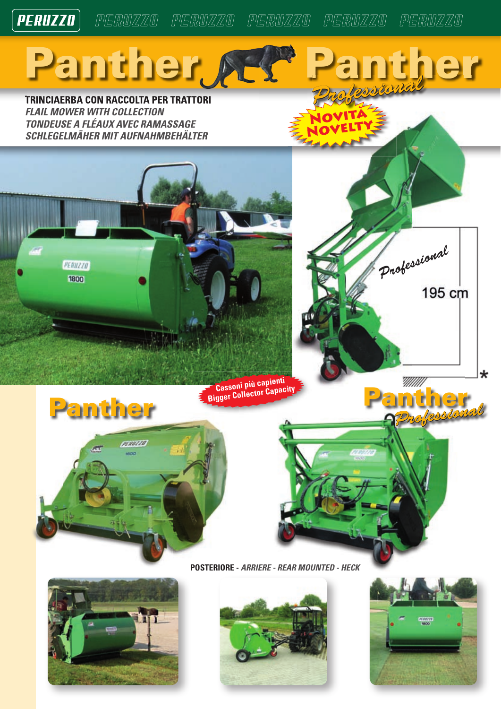